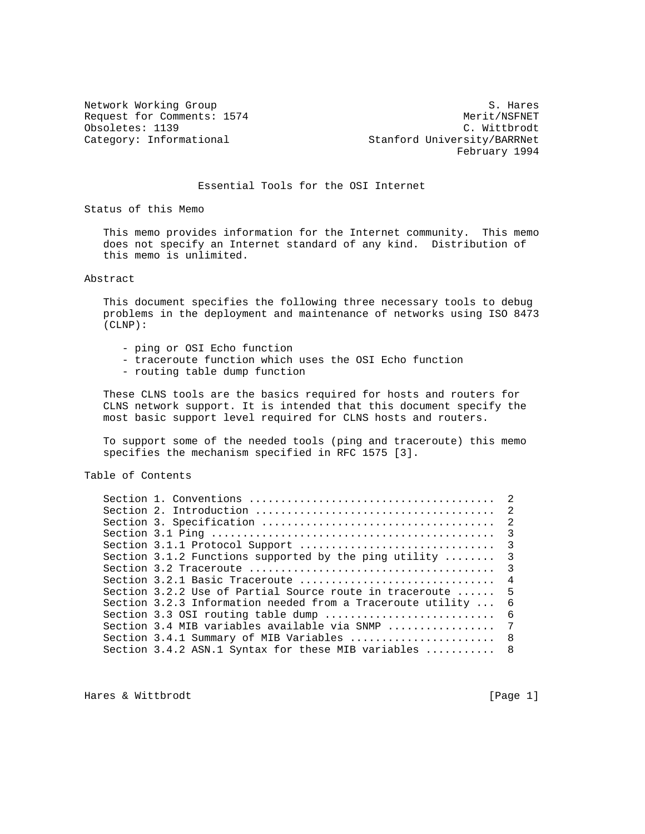Obsoletes: 1139<br>Category: Informational

Network Working Group S. Hares Request for Comments: 1574 Merit/NSFNET (b) Merit/NSFNET (b) Merit/NSFNET (b) Merit/NSFNET (b) Mittbrodt (c) Mittbrodt (c) Mittbrodt (c) Mittbrodt (c) Mittbrodt (c) Mittbrodt (c) Mittbrodt (c) Mittbrodt (c) Mittbrodt (c) M Stanford University/BARRNet February 1994

### Essential Tools for the OSI Internet

Status of this Memo

 This memo provides information for the Internet community. This memo does not specify an Internet standard of any kind. Distribution of this memo is unlimited.

Abstract

 This document specifies the following three necessary tools to debug problems in the deployment and maintenance of networks using ISO 8473 (CLNP):

- ping or OSI Echo function
- traceroute function which uses the OSI Echo function
- routing table dump function

 These CLNS tools are the basics required for hosts and routers for CLNS network support. It is intended that this document specify the most basic support level required for CLNS hosts and routers.

 To support some of the needed tools (ping and traceroute) this memo specifies the mechanism specified in RFC 1575 [3].

Table of Contents

|  |                                                                               | $\overline{\phantom{a}}$ |
|--|-------------------------------------------------------------------------------|--------------------------|
|  |                                                                               |                          |
|  | Section 3.1.2 Functions supported by the ping utility                         | $\overline{\mathbf{3}}$  |
|  |                                                                               | $\overline{\mathbf{3}}$  |
|  |                                                                               |                          |
|  | Section 3.2.2 Use of Partial Source route in traceroute $\dots \dots$ 5       |                          |
|  | Section 3.2.3 Information needed from a Traceroute utility                    | -6                       |
|  | Section 3.3 OSI routing table dump                                            | - 6                      |
|  | Section 3.4 MIB variables available via SNMP $\ldots, \ldots, \ldots, \ldots$ | 7                        |
|  | Section 3.4.1 Summary of MIB Variables  8                                     |                          |
|  | Section 3.4.2 ASN.1 Syntax for these MIB variables  8                         |                          |

Hares & Wittbrodt [Page 1]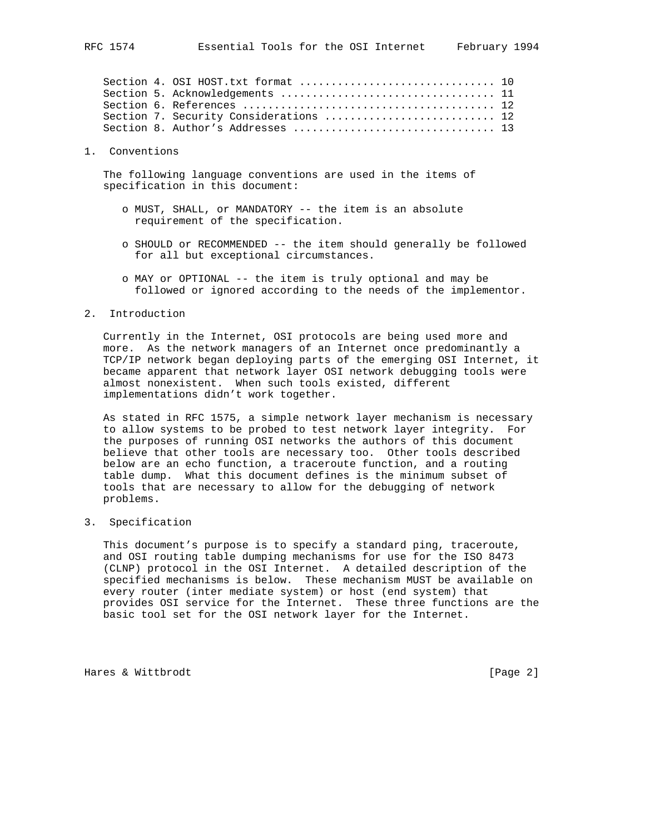1. Conventions

 The following language conventions are used in the items of specification in this document:

- o MUST, SHALL, or MANDATORY -- the item is an absolute requirement of the specification.
- o SHOULD or RECOMMENDED -- the item should generally be followed for all but exceptional circumstances.
- o MAY or OPTIONAL -- the item is truly optional and may be followed or ignored according to the needs of the implementor.
- 2. Introduction

 Currently in the Internet, OSI protocols are being used more and more. As the network managers of an Internet once predominantly a TCP/IP network began deploying parts of the emerging OSI Internet, it became apparent that network layer OSI network debugging tools were almost nonexistent. When such tools existed, different implementations didn't work together.

 As stated in RFC 1575, a simple network layer mechanism is necessary to allow systems to be probed to test network layer integrity. For the purposes of running OSI networks the authors of this document believe that other tools are necessary too. Other tools described below are an echo function, a traceroute function, and a routing table dump. What this document defines is the minimum subset of tools that are necessary to allow for the debugging of network problems.

3. Specification

 This document's purpose is to specify a standard ping, traceroute, and OSI routing table dumping mechanisms for use for the ISO 8473 (CLNP) protocol in the OSI Internet. A detailed description of the specified mechanisms is below. These mechanism MUST be available on every router (inter mediate system) or host (end system) that provides OSI service for the Internet. These three functions are the basic tool set for the OSI network layer for the Internet.

Hares & Wittbrodt [Page 2]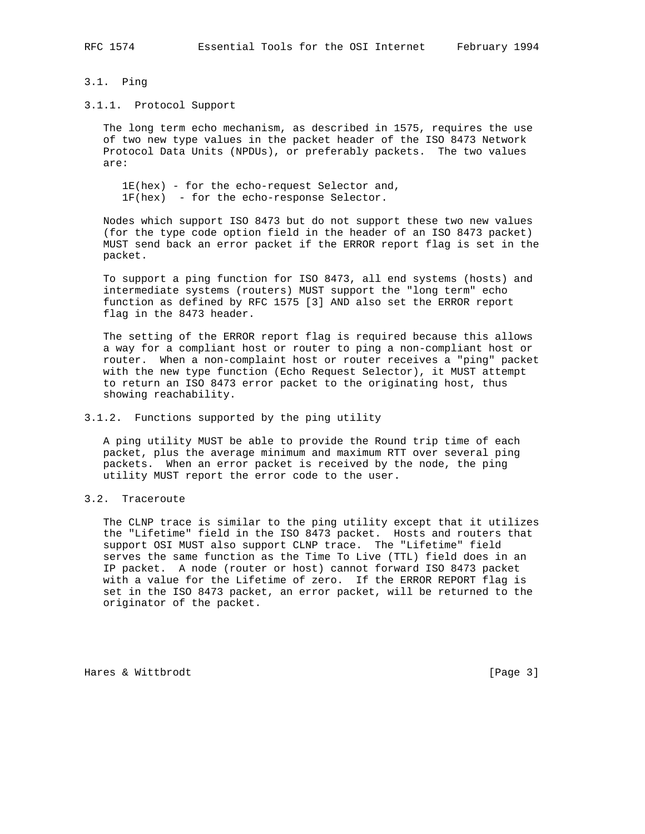### 3.1. Ping

### 3.1.1. Protocol Support

 The long term echo mechanism, as described in 1575, requires the use of two new type values in the packet header of the ISO 8473 Network Protocol Data Units (NPDUs), or preferably packets. The two values are:

 1E(hex) - for the echo-request Selector and, 1F(hex) - for the echo-response Selector.

 Nodes which support ISO 8473 but do not support these two new values (for the type code option field in the header of an ISO 8473 packet) MUST send back an error packet if the ERROR report flag is set in the packet.

 To support a ping function for ISO 8473, all end systems (hosts) and intermediate systems (routers) MUST support the "long term" echo function as defined by RFC 1575 [3] AND also set the ERROR report flag in the 8473 header.

 The setting of the ERROR report flag is required because this allows a way for a compliant host or router to ping a non-compliant host or router. When a non-complaint host or router receives a "ping" packet with the new type function (Echo Request Selector), it MUST attempt to return an ISO 8473 error packet to the originating host, thus showing reachability.

### 3.1.2. Functions supported by the ping utility

 A ping utility MUST be able to provide the Round trip time of each packet, plus the average minimum and maximum RTT over several ping packets. When an error packet is received by the node, the ping utility MUST report the error code to the user.

# 3.2. Traceroute

 The CLNP trace is similar to the ping utility except that it utilizes the "Lifetime" field in the ISO 8473 packet. Hosts and routers that support OSI MUST also support CLNP trace. The "Lifetime" field serves the same function as the Time To Live (TTL) field does in an IP packet. A node (router or host) cannot forward ISO 8473 packet with a value for the Lifetime of zero. If the ERROR REPORT flag is set in the ISO 8473 packet, an error packet, will be returned to the originator of the packet.

Hares & Wittbrodt [Page 3]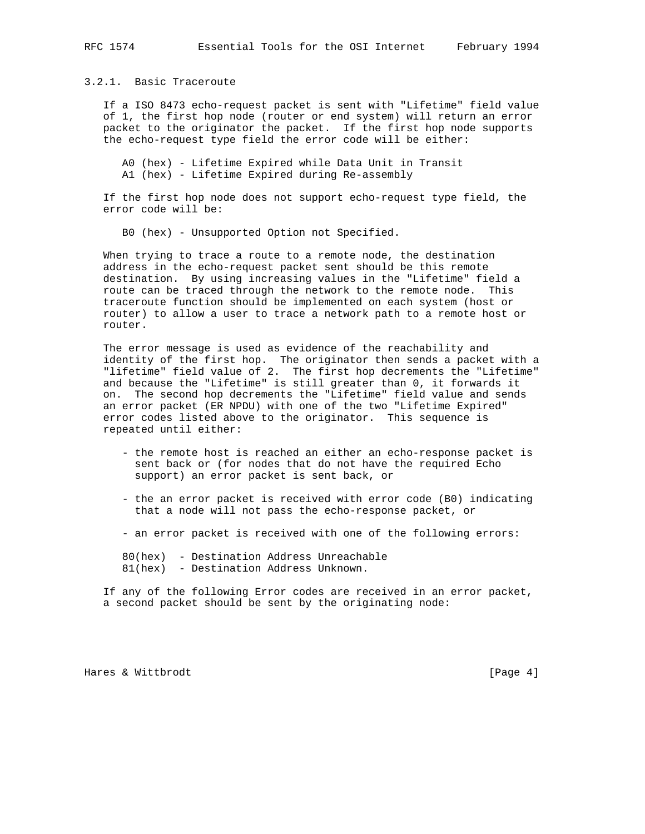## 3.2.1. Basic Traceroute

 If a ISO 8473 echo-request packet is sent with "Lifetime" field value of 1, the first hop node (router or end system) will return an error packet to the originator the packet. If the first hop node supports the echo-request type field the error code will be either:

 A0 (hex) - Lifetime Expired while Data Unit in Transit A1 (hex) - Lifetime Expired during Re-assembly

 If the first hop node does not support echo-request type field, the error code will be:

B0 (hex) - Unsupported Option not Specified.

 When trying to trace a route to a remote node, the destination address in the echo-request packet sent should be this remote destination. By using increasing values in the "Lifetime" field a route can be traced through the network to the remote node. This traceroute function should be implemented on each system (host or router) to allow a user to trace a network path to a remote host or router.

 The error message is used as evidence of the reachability and identity of the first hop. The originator then sends a packet with a "lifetime" field value of 2. The first hop decrements the "Lifetime" and because the "Lifetime" is still greater than 0, it forwards it on. The second hop decrements the "Lifetime" field value and sends an error packet (ER NPDU) with one of the two "Lifetime Expired" error codes listed above to the originator. This sequence is repeated until either:

- the remote host is reached an either an echo-response packet is sent back or (for nodes that do not have the required Echo support) an error packet is sent back, or
- the an error packet is received with error code (B0) indicating that a node will not pass the echo-response packet, or
- an error packet is received with one of the following errors:

 80(hex) - Destination Address Unreachable 81(hex) - Destination Address Unknown.

 If any of the following Error codes are received in an error packet, a second packet should be sent by the originating node:

Hares & Wittbrodt [Page 4]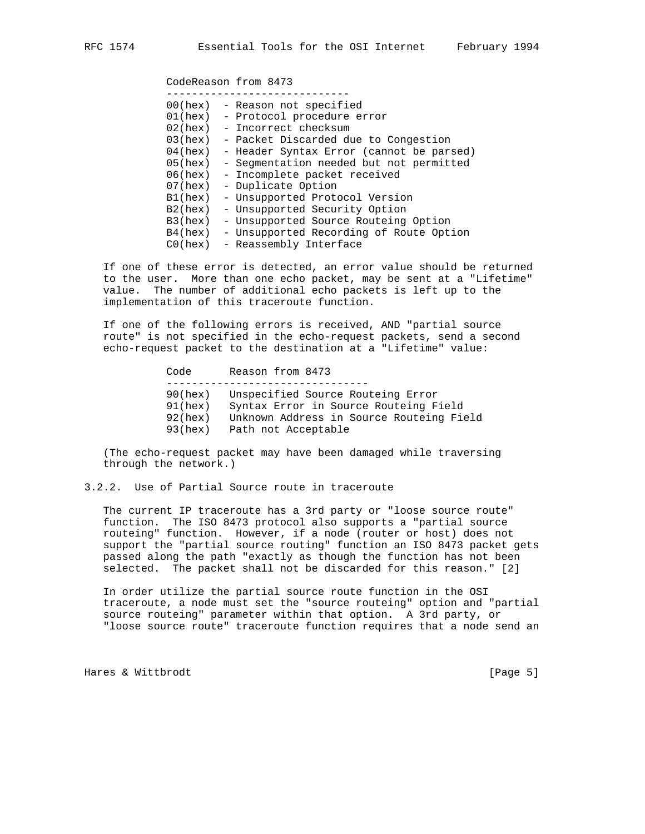CodeReason from 8473

| 00(hex) | - Reason not specified                   |
|---------|------------------------------------------|
| 01(hex) | - Protocol procedure error               |
| 02(hex) | - Incorrect checksum                     |
| 03(hex) | - Packet Discarded due to Congestion     |
| 04(hex) | - Header Syntax Error (cannot be parsed) |
| 05(hex) | - Segmentation needed but not permitted  |
| 06(hex) | - Incomplete packet received             |
| 07(hex) | - Duplicate Option                       |
| B1(hex) | - Unsupported Protocol Version           |
| B2(hex) | - Unsupported Security Option            |
| B3(hex) | - Unsupported Source Routeing Option     |
| B4(hex) | - Unsupported Recording of Route Option  |
| CO(hex) | - Reassembly Interface                   |

 If one of these error is detected, an error value should be returned to the user. More than one echo packet, may be sent at a "Lifetime" value. The number of additional echo packets is left up to the implementation of this traceroute function.

 If one of the following errors is received, AND "partial source route" is not specified in the echo-request packets, send a second echo-request packet to the destination at a "Lifetime" value:

> Code Reason from 8473 -------------------------------- 90(hex) Unspecified Source Routeing Error 91(hex) Syntax Error in Source Routeing Field 92(hex) Unknown Address in Source Routeing Field 93(hex) Path not Acceptable

 (The echo-request packet may have been damaged while traversing through the network.)

## 3.2.2. Use of Partial Source route in traceroute

 The current IP traceroute has a 3rd party or "loose source route" function. The ISO 8473 protocol also supports a "partial source routeing" function. However, if a node (router or host) does not support the "partial source routing" function an ISO 8473 packet gets passed along the path "exactly as though the function has not been selected. The packet shall not be discarded for this reason." [2]

 In order utilize the partial source route function in the OSI traceroute, a node must set the "source routeing" option and "partial source routeing" parameter within that option. A 3rd party, or "loose source route" traceroute function requires that a node send an

Hares & Wittbrodt [Page 5]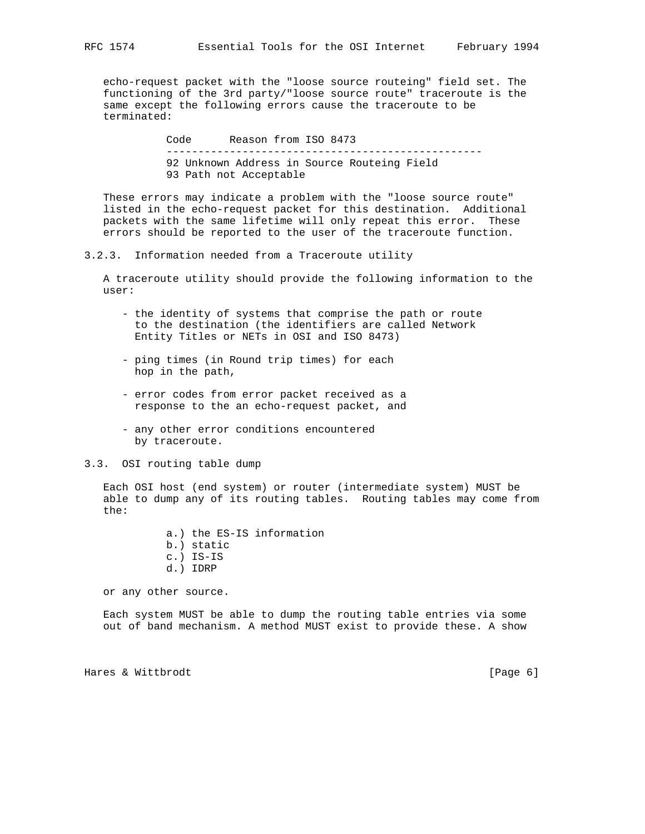echo-request packet with the "loose source routeing" field set. The functioning of the 3rd party/"loose source route" traceroute is the same except the following errors cause the traceroute to be terminated:

> Code Reason from ISO 8473 -------------------------------------------------- 92 Unknown Address in Source Routeing Field 93 Path not Acceptable

 These errors may indicate a problem with the "loose source route" listed in the echo-request packet for this destination. Additional packets with the same lifetime will only repeat this error. These errors should be reported to the user of the traceroute function.

3.2.3. Information needed from a Traceroute utility

 A traceroute utility should provide the following information to the user:

- the identity of systems that comprise the path or route to the destination (the identifiers are called Network Entity Titles or NETs in OSI and ISO 8473)
- ping times (in Round trip times) for each hop in the path,
- error codes from error packet received as a response to the an echo-request packet, and
- any other error conditions encountered by traceroute.

### 3.3. OSI routing table dump

 Each OSI host (end system) or router (intermediate system) MUST be able to dump any of its routing tables. Routing tables may come from the:

> a.) the ES-IS information b.) static

- c.) IS-IS
- d.) IDRP

or any other source.

 Each system MUST be able to dump the routing table entries via some out of band mechanism. A method MUST exist to provide these. A show

Hares & Wittbrodt [Page 6]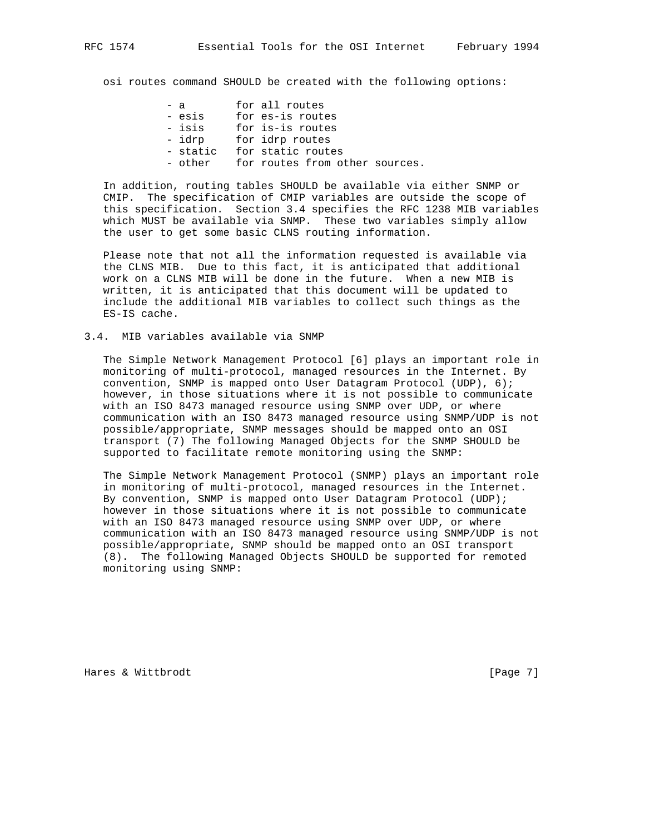osi routes command SHOULD be created with the following options:

| $-$ a  |          | for all routes    |  |                                |
|--------|----------|-------------------|--|--------------------------------|
| - esis |          | for es-is routes  |  |                                |
| - isis |          | for is-is routes  |  |                                |
| - idrp |          | for idrp routes   |  |                                |
|        | - static | for static routes |  |                                |
|        | - other  |                   |  | for routes from other sources. |
|        |          |                   |  |                                |

 In addition, routing tables SHOULD be available via either SNMP or CMIP. The specification of CMIP variables are outside the scope of this specification. Section 3.4 specifies the RFC 1238 MIB variables which MUST be available via SNMP. These two variables simply allow the user to get some basic CLNS routing information.

 Please note that not all the information requested is available via the CLNS MIB. Due to this fact, it is anticipated that additional work on a CLNS MIB will be done in the future. When a new MIB is written, it is anticipated that this document will be updated to include the additional MIB variables to collect such things as the ES-IS cache.

3.4. MIB variables available via SNMP

 The Simple Network Management Protocol [6] plays an important role in monitoring of multi-protocol, managed resources in the Internet. By convention, SNMP is mapped onto User Datagram Protocol (UDP), 6); however, in those situations where it is not possible to communicate with an ISO 8473 managed resource using SNMP over UDP, or where communication with an ISO 8473 managed resource using SNMP/UDP is not possible/appropriate, SNMP messages should be mapped onto an OSI transport (7) The following Managed Objects for the SNMP SHOULD be supported to facilitate remote monitoring using the SNMP:

 The Simple Network Management Protocol (SNMP) plays an important role in monitoring of multi-protocol, managed resources in the Internet. By convention, SNMP is mapped onto User Datagram Protocol (UDP); however in those situations where it is not possible to communicate with an ISO 8473 managed resource using SNMP over UDP, or where communication with an ISO 8473 managed resource using SNMP/UDP is not possible/appropriate, SNMP should be mapped onto an OSI transport (8). The following Managed Objects SHOULD be supported for remoted monitoring using SNMP:

Hares & Wittbrodt [Page 7]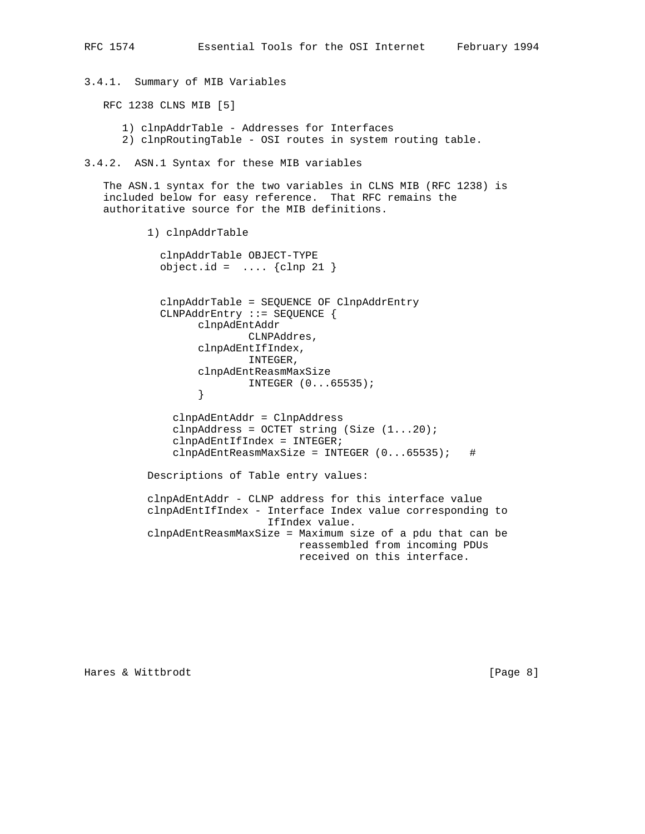3.4.1. Summary of MIB Variables

RFC 1238 CLNS MIB [5]

1) clnpAddrTable - Addresses for Interfaces

2) clnpRoutingTable - OSI routes in system routing table.

3.4.2. ASN.1 Syntax for these MIB variables

 The ASN.1 syntax for the two variables in CLNS MIB (RFC 1238) is included below for easy reference. That RFC remains the authoritative source for the MIB definitions.

1) clnpAddrTable

 clnpAddrTable OBJECT-TYPE  $object.id = ... {clip 21}$ 

 clnpAddrTable = SEQUENCE OF ClnpAddrEntry CLNPAddrEntry ::= SEQUENCE { clnpAdEntAddr CLNPAddres, clnpAdEntIfIndex, INTEGER, clnpAdEntReasmMaxSize INTEGER (0...65535); } clnpAdEntAddr = ClnpAddress

clnpAddress = OCTET string (Size  $(1...20)$ ; clnpAdEntIfIndex = INTEGER;  $clnpAdEntReasonMaxSize = INTER (0...65535);$ #

Descriptions of Table entry values:

 clnpAdEntAddr - CLNP address for this interface value clnpAdEntIfIndex - Interface Index value corresponding to IfIndex value. clnpAdEntReasmMaxSize = Maximum size of a pdu that can be reassembled from incoming PDUs received on this interface.

Hares & Wittbrodt [Page 8]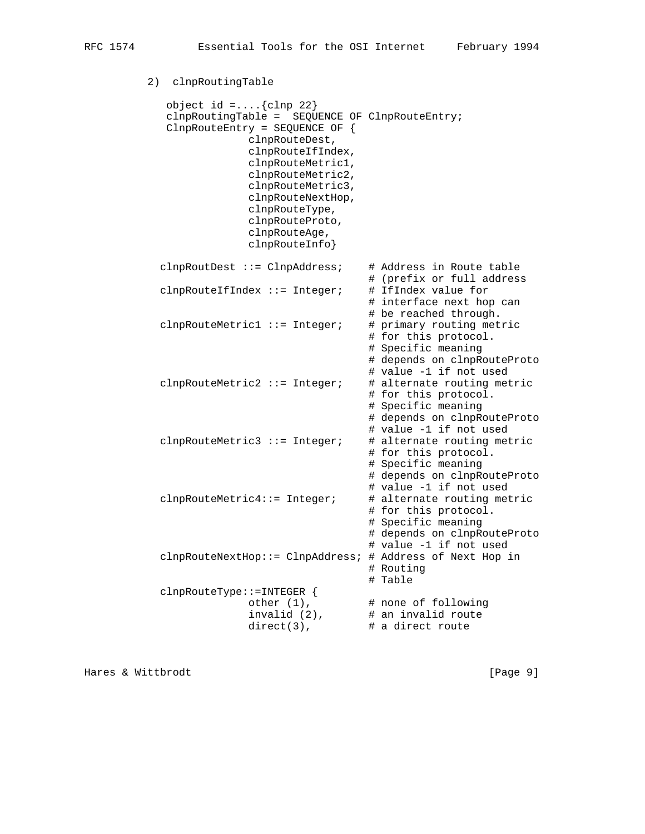2) clnpRoutingTable object id =.... $\{clnp 22\}$  clnpRoutingTable = SEQUENCE OF ClnpRouteEntry; ClnpRouteEntry = SEQUENCE OF { clnpRouteDest, clnpRouteIfIndex, clnpRouteMetric1, clnpRouteMetric2, clnpRouteMetric3, clnpRouteNextHop, clnpRouteType, clnpRouteProto, clnpRouteAge, clnpRouteInfo} clnpRoutDest ::= ClnpAddress; # Address in Route table # (prefix or full address clnpRouteIfIndex  $::=$  Integer; # IfIndex value for # interface next hop can # be reached through.  $clnpRoundMethod ::= Integer; # primary routing metric$  # for this protocol. # Specific meaning # depends on clnpRouteProto # value -1 if not used  $clnpRoundMethod ::=Integer; # alternate routing metric$  # for this protocol. # Specific meaning # depends on clnpRouteProto # value -1 if not used  $clnpRoundMethod ::=Integer; # alternate routing metric$  # for this protocol. # Specific meaning # depends on clnpRouteProto # value -1 if not used clnpRouteMetric4::= Integer; # alternate routing metric # for this protocol. # Specific meaning # depends on clnpRouteProto # value -1 if not used clnpRouteNextHop::= ClnpAddress; # Address of Next Hop in # Routing # Table clnpRouteType::=INTEGER { other  $(1)$ ,  $\qquad$  # none of following invalid  $(2)$ ,  $\qquad$  # an invalid route  $direct(3)$ ,  $\qquad$  # a direct route

Hares & Wittbrodt [Page 9]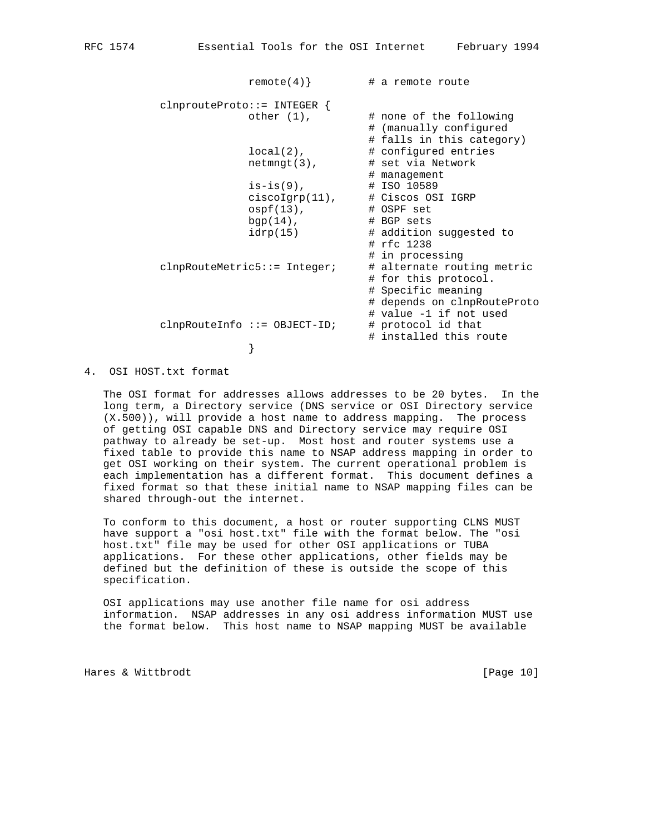```
remote(4) \# a remote route
              clnprouteProto::= INTEGER \{ \begin{array}{cc} \text{other} & (1), \end{array}# none of the following
                                                           # (manually configured
                                                          # falls in this category)
                                 local(2), \qquad \qquad \text{# configured entries} netmngt(3), # set via Network
                                                          # management
                                 is-is(9), \qquad # ISO 10589<br>ciscoJgrp(11), \qquad # Ciscos OSI IGRP
                                 \begin{array}{lll} \text{1S-LS}(5) \text{,} & & \text{if } & \text{CiscoS 0S} \\ \text{ciscolgrp(11)}, & & \text{if } & \text{CiscoS 0S} \\ \text{ospf(13)}, & & \text{if } & \text{OSPF set} \end{array}ospf(13),
                                 bgp(14), \# BGP \text{ sets}idrp(15) # addition suggested to
                                                           # rfc 1238
                                                           # in processing
               clnpRouteMetric5::= Integer; # alternate routing metric
                                                           # for this protocol.
                                                           # Specific meaning
                                                           # depends on clnpRouteProto
                                                           # value -1 if not used
              clnpRouteInfo ::= OBJECT-ID; # protocol id that
                                                          # installed this route
}
```
4. OSI HOST.txt format

 The OSI format for addresses allows addresses to be 20 bytes. In the long term, a Directory service (DNS service or OSI Directory service (X.500)), will provide a host name to address mapping. The process of getting OSI capable DNS and Directory service may require OSI pathway to already be set-up. Most host and router systems use a fixed table to provide this name to NSAP address mapping in order to get OSI working on their system. The current operational problem is each implementation has a different format. This document defines a fixed format so that these initial name to NSAP mapping files can be shared through-out the internet.

 To conform to this document, a host or router supporting CLNS MUST have support a "osi host.txt" file with the format below. The "osi host.txt" file may be used for other OSI applications or TUBA applications. For these other applications, other fields may be defined but the definition of these is outside the scope of this specification.

 OSI applications may use another file name for osi address information. NSAP addresses in any osi address information MUST use the format below. This host name to NSAP mapping MUST be available

Hares & Wittbrodt [Page 10]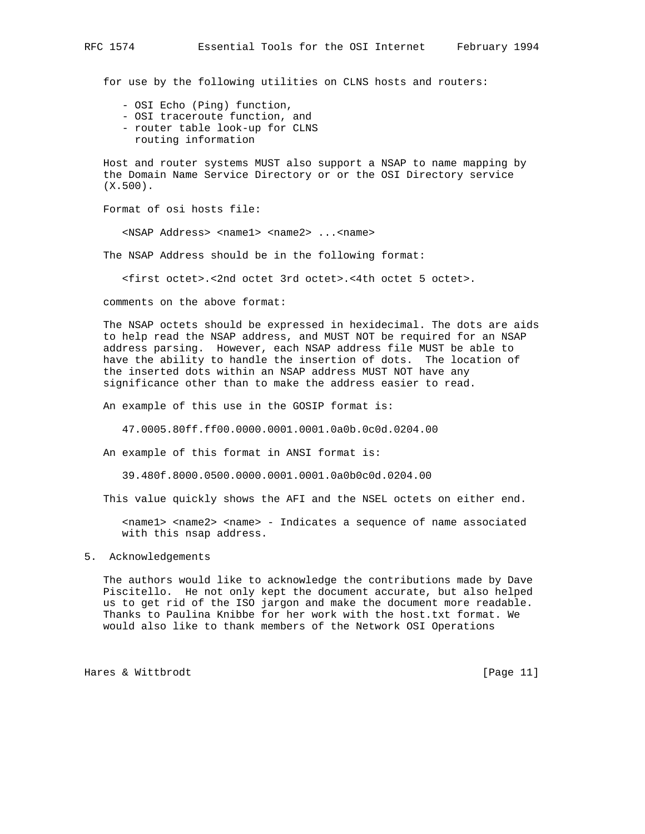for use by the following utilities on CLNS hosts and routers:

- OSI Echo (Ping) function,
- OSI traceroute function, and
- router table look-up for CLNS
- routing information

 Host and router systems MUST also support a NSAP to name mapping by the Domain Name Service Directory or or the OSI Directory service (X.500).

Format of osi hosts file:

<NSAP Address> <name1> <name2> ...<name>

The NSAP Address should be in the following format:

<first octet>.<2nd octet 3rd octet>.<4th octet 5 octet>.

comments on the above format:

 The NSAP octets should be expressed in hexidecimal. The dots are aids to help read the NSAP address, and MUST NOT be required for an NSAP address parsing. However, each NSAP address file MUST be able to have the ability to handle the insertion of dots. The location of the inserted dots within an NSAP address MUST NOT have any significance other than to make the address easier to read.

An example of this use in the GOSIP format is:

47.0005.80ff.ff00.0000.0001.0001.0a0b.0c0d.0204.00

An example of this format in ANSI format is:

39.480f.8000.0500.0000.0001.0001.0a0b0c0d.0204.00

This value quickly shows the AFI and the NSEL octets on either end.

 <name1> <name2> <name> - Indicates a sequence of name associated with this nsap address.

### 5. Acknowledgements

 The authors would like to acknowledge the contributions made by Dave Piscitello. He not only kept the document accurate, but also helped us to get rid of the ISO jargon and make the document more readable. Thanks to Paulina Knibbe for her work with the host.txt format. We would also like to thank members of the Network OSI Operations

Hares & Wittbrodt [Page 11]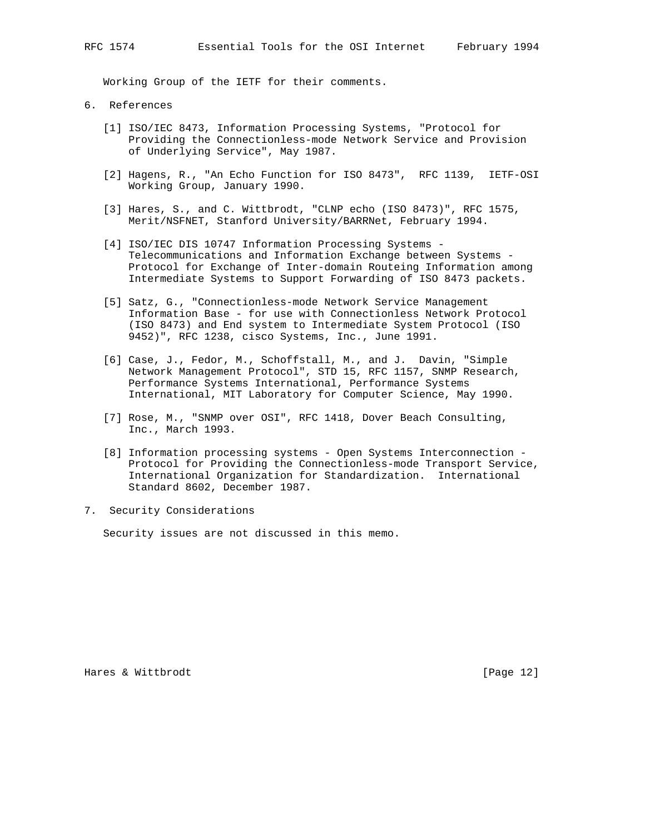Working Group of the IETF for their comments.

- 6. References
	- [1] ISO/IEC 8473, Information Processing Systems, "Protocol for Providing the Connectionless-mode Network Service and Provision of Underlying Service", May 1987.
	- [2] Hagens, R., "An Echo Function for ISO 8473", RFC 1139, IETF-OSI Working Group, January 1990.
	- [3] Hares, S., and C. Wittbrodt, "CLNP echo (ISO 8473)", RFC 1575, Merit/NSFNET, Stanford University/BARRNet, February 1994.
	- [4] ISO/IEC DIS 10747 Information Processing Systems Telecommunications and Information Exchange between Systems - Protocol for Exchange of Inter-domain Routeing Information among Intermediate Systems to Support Forwarding of ISO 8473 packets.
	- [5] Satz, G., "Connectionless-mode Network Service Management Information Base - for use with Connectionless Network Protocol (ISO 8473) and End system to Intermediate System Protocol (ISO 9452)", RFC 1238, cisco Systems, Inc., June 1991.
	- [6] Case, J., Fedor, M., Schoffstall, M., and J. Davin, "Simple Network Management Protocol", STD 15, RFC 1157, SNMP Research, Performance Systems International, Performance Systems International, MIT Laboratory for Computer Science, May 1990.
	- [7] Rose, M., "SNMP over OSI", RFC 1418, Dover Beach Consulting, Inc., March 1993.
	- [8] Information processing systems Open Systems Interconnection Protocol for Providing the Connectionless-mode Transport Service, International Organization for Standardization. International Standard 8602, December 1987.
- 7. Security Considerations

Security issues are not discussed in this memo.

Hares & Wittbrodt [Page 12]